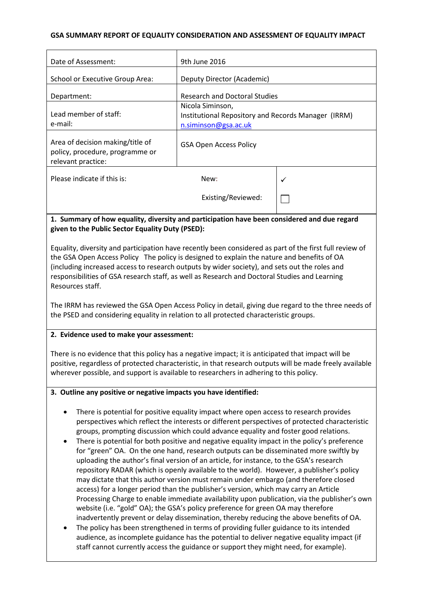### **GSA SUMMARY REPORT OF EQUALITY CONSIDERATION AND ASSESSMENT OF EQUALITY IMPACT**

| Date of Assessment:                                                                       | 9th June 2016                                                                                                                                                                                                                     |     |
|-------------------------------------------------------------------------------------------|-----------------------------------------------------------------------------------------------------------------------------------------------------------------------------------------------------------------------------------|-----|
| <b>School or Executive Group Area:</b>                                                    | Deputy Director (Academic)                                                                                                                                                                                                        |     |
| Department:                                                                               | <b>Research and Doctoral Studies</b>                                                                                                                                                                                              |     |
| Lead member of staff:<br>e-mail:                                                          | Nicola Siminson,<br>Institutional Repository and Records Manager (IRRM)<br>n.siminson@gsa.ac.uk                                                                                                                                   |     |
| Area of decision making/title of<br>policy, procedure, programme or<br>relevant practice: | <b>GSA Open Access Policy</b>                                                                                                                                                                                                     |     |
| Please indicate if this is:                                                               | New:                                                                                                                                                                                                                              | ✓   |
|                                                                                           | Existing/Reviewed:                                                                                                                                                                                                                |     |
| . .<br>$\cdots$                                                                           | $\mathbf{r}$ . The contract of the contract of the contract of the contract of the contract of the contract of the contract of the contract of the contract of the contract of the contract of the contract of the contract of th | . . |

## **1. Summary of how equality, diversity and participation have been considered and due regard given to the Public Sector Equality Duty (PSED):**

Equality, diversity and participation have recently been considered as part of the first full review of the GSA Open Access Policy The policy is designed to explain the nature and benefits of OA (including increased access to research outputs by wider society), and sets out the roles and responsibilities of GSA research staff, as well as Research and Doctoral Studies and Learning Resources staff.

The IRRM has reviewed the GSA Open Access Policy in detail, giving due regard to the three needs of the PSED and considering equality in relation to all protected characteristic groups.

## **2. Evidence used to make your assessment:**

There is no evidence that this policy has a negative impact; it is anticipated that impact will be positive, regardless of protected characteristic, in that research outputs will be made freely available wherever possible, and support is available to researchers in adhering to this policy.

#### **3. Outline any positive or negative impacts you have identified:**

- There is potential for positive equality impact where open access to research provides perspectives which reflect the interests or different perspectives of protected characteristic groups, prompting discussion which could advance equality and foster good relations.
- There is potential for both positive and negative equality impact in the policy's preference for "green" OA. On the one hand, research outputs can be disseminated more swiftly by uploading the author's final version of an article, for instance, to the GSA's research repository RADAR (which is openly available to the world). However, a publisher's policy may dictate that this author version must remain under embargo (and therefore closed access) for a longer period than the publisher's version, which may carry an Article Processing Charge to enable immediate availability upon publication, via the publisher's own website (i.e. "gold" OA); the GSA's policy preference for green OA may therefore inadvertently prevent or delay dissemination, thereby reducing the above benefits of OA.
- The policy has been strengthened in terms of providing fuller guidance to its intended audience, as incomplete guidance has the potential to deliver negative equality impact (if staff cannot currently access the guidance or support they might need, for example).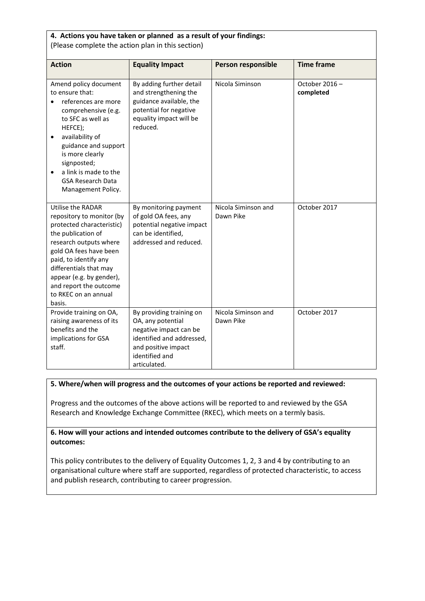| 4. Actions you have taken or planned as a result of your findings:<br>(Please complete the action plan in this section)                                                                                                                                                                                  |                                                                                                                                                               |                                  |                            |  |
|----------------------------------------------------------------------------------------------------------------------------------------------------------------------------------------------------------------------------------------------------------------------------------------------------------|---------------------------------------------------------------------------------------------------------------------------------------------------------------|----------------------------------|----------------------------|--|
| <b>Action</b>                                                                                                                                                                                                                                                                                            | <b>Equality Impact</b>                                                                                                                                        | <b>Person responsible</b>        | <b>Time frame</b>          |  |
| Amend policy document<br>to ensure that:<br>references are more<br>comprehensive (e.g.<br>to SFC as well as<br>HEFCE);<br>availability of<br>$\bullet$<br>guidance and support<br>is more clearly<br>signposted;<br>a link is made to the<br>$\bullet$<br><b>GSA Research Data</b><br>Management Policy. | By adding further detail<br>and strengthening the<br>guidance available, the<br>potential for negative<br>equality impact will be<br>reduced.                 | Nicola Siminson                  | October 2016-<br>completed |  |
| Utilise the RADAR<br>repository to monitor (by<br>protected characteristic)<br>the publication of<br>research outputs where<br>gold OA fees have been<br>paid, to identify any<br>differentials that may<br>appear (e.g. by gender),<br>and report the outcome<br>to RKEC on an annual<br>basis.         | By monitoring payment<br>of gold OA fees, any<br>potential negative impact<br>can be identified,<br>addressed and reduced.                                    | Nicola Siminson and<br>Dawn Pike | October 2017               |  |
| Provide training on OA,<br>raising awareness of its<br>benefits and the<br>implications for GSA<br>staff.                                                                                                                                                                                                | By providing training on<br>OA, any potential<br>negative impact can be<br>identified and addressed,<br>and positive impact<br>identified and<br>articulated. | Nicola Siminson and<br>Dawn Pike | October 2017               |  |

## **5. Where/when will progress and the outcomes of your actions be reported and reviewed:**

Progress and the outcomes of the above actions will be reported to and reviewed by the GSA Research and Knowledge Exchange Committee (RKEC), which meets on a termly basis.

**6. How will your actions and intended outcomes contribute to the delivery of GSA's equality outcomes:**

This policy contributes to the delivery of Equality Outcomes 1, 2, 3 and 4 by contributing to an organisational culture where staff are supported, regardless of protected characteristic, to access and publish research, contributing to career progression.